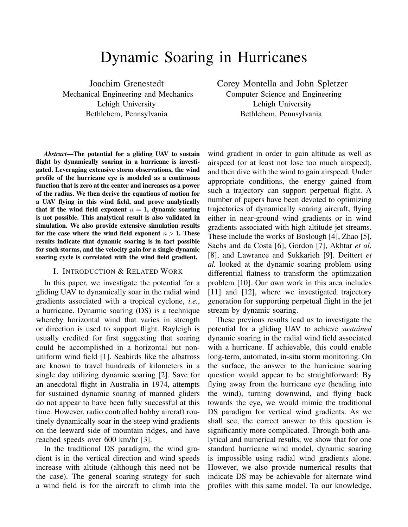# Dynamic Soaring in Hurricanes

Joachim Grenestedt Mechanical Engineering and Mechanics Lehigh University Bethlehem, Pennsylvania

*Abstract*—The potential for a gliding UAV to sustain flight by dynamically soaring in a hurricane is investigated. Leveraging extensive storm observations, the wind profile of the hurricane eye is modeled as a continuous function that is zero at the center and increases as a power of the radius. We then derive the equations of motion for a UAV flying in this wind field, and prove analytically that if the wind field exponent  $n = 1$ , dynamic soaring is not possible. This analytical result is also validated in simulation. We also provide extensive simulation results for the case where the wind field exponent  $n > 1$ . These results indicate that dynamic soaring is in fact possible for such storms, and the velocity gain for a single dynamic soaring cycle is correlated with the wind field gradient.

# I. INTRODUCTION & RELATED WORK

In this paper, we investigate the potential for a gliding UAV to dynamically soar in the radial wind gradients associated with a tropical cyclone, *i.e.*, a hurricane. Dynamic soaring (DS) is a technique whereby horizontal wind that varies in strength or direction is used to support flight. Rayleigh is usually credited for first suggesting that soaring could be accomplished in a horizontal but nonuniform wind field [1]. Seabirds like the albatross are known to travel hundreds of kilometers in a single day utilizing dynamic soaring [2]. Save for an anecdotal flight in Australia in 1974, attempts for sustained dynamic soaring of manned gliders do not appear to have been fully successful at this time. However, radio controlled hobby aircraft routinely dynamically soar in the steep wind gradients on the leeward side of mountain ridges, and have reached speeds over 600 km/hr [3].

In the traditional DS paradigm, the wind gradient is in the vertical direction and wind speeds increase with altitude (although this need not be the case). The general soaring strategy for such a wind field is for the aircraft to climb into the wind gradient in order to gain altitude as well as airspeed (or at least not lose too much airspeed), and then dive with the wind to gain airspeed. Under appropriate conditions, the energy gained from such a trajectory can support perpetual flight. A number of papers have been devoted to optimizing trajectories of dynamically soaring aircraft, flying either in near-ground wind gradients or in wind gradients associated with high altitude jet streams. These include the works of Boslough [4], Zhao [5], Sachs and da Costa [6], Gordon [7], Akhtar *et al.* [8], and Lawrance and Sukkarieh [9]. Deittert *et al.* looked at the dynamic soaring problem using differential flatness to transform the optimization problem [10]. Our own work in this area includes [11] and [12], where we investigated trajectory generation for supporting perpetual flight in the jet stream by dynamic soaring.

These previous results lead us to investigate the potential for a gliding UAV to achieve *sustained* dynamic soaring in the radial wind field associated with a hurricane. If achievable, this could enable long-term, automated, in-situ storm monitoring. On the surface, the answer to the hurricane soaring question would appear to be straightforward: By flying away from the hurricane eye (heading into the wind), turning downwind, and flying back towards the eye, we would mimic the traditional DS paradigm for vertical wind gradients. As we shall see, the correct answer to this question is significantly more complicated. Through both analytical and numerical results, we show that for one standard hurricane wind model, dynamic soaring is impossible using radial wind gradients alone. However, we also provide numerical results that indicate DS may be achievable for alternate wind profiles with this same model. To our knowledge,

Corey Montella and John Spletzer Computer Science and Engineering Lehigh University Bethlehem, Pennsylvania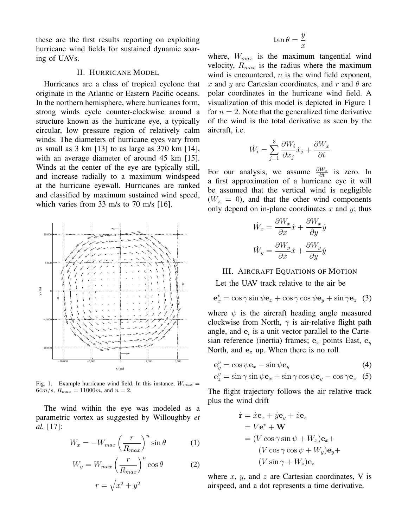these are the first results reporting on exploiting hurricane wind fields for sustained dynamic soaring of UAVs.

## II. HURRICANE MODEL

Hurricanes are a class of tropical cyclone that originate in the Atlantic or Eastern Pacific oceans. In the northern hemisphere, where hurricanes form, strong winds cycle counter-clockwise around a structure known as the hurricane eye, a typically circular, low pressure region of relatively calm winds. The diameters of hurricane eyes vary from as small as 3 km [13] to as large as 370 km [14], with an average diameter of around 45 km [15]. Winds at the center of the eye are typically still, and increase radially to a maximum windspeed at the hurricane eyewall. Hurricanes are ranked and classified by maximum sustained wind speed, which varies from 33 m/s to 70 m/s [16].



Fig. 1. Example hurricane wind field. In this instance,  $W_{max}$  =  $64m/s$ ,  $R_{max} = 11000m$ , and  $n = 2$ .

The wind within the eye was modeled as a parametric vortex as suggested by Willoughby *et al.* [17]:

$$
W_x = -W_{max} \left(\frac{r}{R_{max}}\right)^n \sin \theta \tag{1}
$$

$$
W_y = W_{max} \left(\frac{r}{R_{max}}\right)^n \cos \theta
$$
 (2)  

$$
r = \sqrt{x^2 + y^2}
$$

$$
\tan\theta=\frac{y}{x}
$$

where,  $W_{max}$  is the maximum tangential wind velocity,  $R_{max}$  is the radius where the maximum wind is encountered,  $n$  is the wind field exponent, x and y are Cartesian coordinates, and r and  $\theta$  are polar coordinates in the hurricane wind field. A visualization of this model is depicted in Figure 1 for  $n = 2$ . Note that the generalized time derivative of the wind is the total derivative as seen by the aircraft, i.e.

$$
\dot{W}_i = \sum_{j=1}^3 \frac{\partial W_i}{\partial x_j} \dot{x}_j + \frac{\partial W_x}{\partial t}
$$

For our analysis, we assume  $\frac{\partial W_x}{\partial t}$  is zero. In a first approximation of a hurricane eye it will be assumed that the vertical wind is negligible  $(W_z = 0)$ , and that the other wind components only depend on in-plane coordinates  $x$  and  $y$ ; thus

$$
\begin{aligned} \dot{W}_x &= \frac{\partial W_x}{\partial x} \dot{x} + \frac{\partial W_x}{\partial y} \dot{y} \\ \dot{W}_y &= \frac{\partial W_y}{\partial x} \dot{x} + \frac{\partial W_y}{\partial y} \dot{y} \end{aligned}
$$

# III. AIRCRAFT EQUATIONS OF MOTION

Let the UAV track relative to the air be

$$
\mathbf{e}_x^v = \cos \gamma \sin \psi \mathbf{e}_x + \cos \gamma \cos \psi \mathbf{e}_y + \sin \gamma \mathbf{e}_z \quad (3)
$$

where  $\psi$  is the aircraft heading angle measured clockwise from North,  $\gamma$  is air-relative flight path angle, and  $e_i$  is a unit vector parallel to the Cartesian reference (inertia) frames;  $e_x$  points East,  $e_y$ North, and  $e_z$  up. When there is no roll

$$
\mathbf{e}_y^v = \cos \psi \mathbf{e}_x - \sin \psi \mathbf{e}_y \tag{4}
$$

$$
\mathbf{e}_z^v = \sin \gamma \sin \psi \mathbf{e}_x + \sin \gamma \cos \psi \mathbf{e}_y - \cos \gamma \mathbf{e}_z \quad (5)
$$

The flight trajectory follows the air relative track plus the wind drift

$$
\dot{\mathbf{r}} = \dot{x}\mathbf{e}_x + \dot{y}\mathbf{e}_y + \dot{z}\mathbf{e}_z
$$
  
=  $V\mathbf{e}^v + \mathbf{W}$   
=  $(V\cos\gamma\sin\psi + W_x)\mathbf{e}_x +$   
 $(V\cos\gamma\cos\psi + W_y)\mathbf{e}_y +$   
 $(V\sin\gamma + W_z)\mathbf{e}_z$ 

where  $x$ ,  $y$ , and  $z$  are Cartesian coordinates, V is airspeed, and a dot represents a time derivative.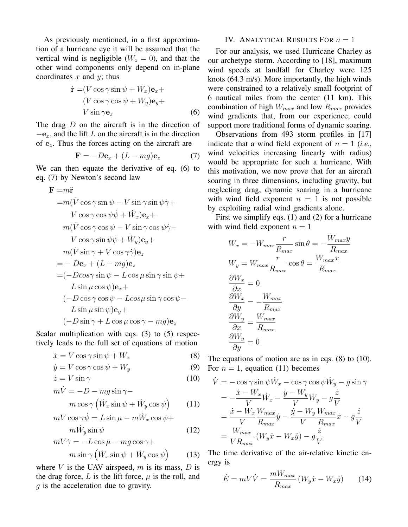As previously mentioned, in a first approximation of a hurricane eye it will be assumed that the vertical wind is negligible ( $W_z = 0$ ), and that the other wind components only depend on in-plane coordinates  $x$  and  $y$ ; thus

$$
\dot{\mathbf{r}} = (V \cos \gamma \sin \psi + W_x)\mathbf{e}_x + (V \cos \gamma \cos \psi + W_y)\mathbf{e}_y + V \sin \gamma \mathbf{e}_z
$$
 (6)

The drag D on the aircraft is in the direction of  $-e<sub>x</sub>$ , and the lift L on the aircraft is in the direction of  $e_z$ . Thus the forces acting on the aircraft are

$$
\mathbf{F} = -D\mathbf{e}_x + (L - mg)\mathbf{e}_z \tag{7}
$$

We can then equate the derivative of eq. (6) to eq. (7) by Newton's second law

$$
\mathbf{F} = m\ddot{\mathbf{r}}
$$
  
\n
$$
= m(\dot{V} \cos \gamma \sin \psi - V \sin \gamma \sin \psi \dot{\gamma} + V \cos \gamma \cos \psi \dot{\psi} + \dot{W}_x) \mathbf{e}_x +
$$
  
\n
$$
m(\dot{V} \cos \gamma \cos \psi - V \sin \gamma \cos \psi \dot{\gamma} - V \cos \gamma \sin \psi \dot{\psi} + \dot{W}_y) \mathbf{e}_y +
$$
  
\n
$$
m(\dot{V} \sin \gamma + V \cos \gamma \dot{\gamma}) \mathbf{e}_z
$$
  
\n
$$
= -D\mathbf{e}_x + (L - mg)\mathbf{e}_z
$$
  
\n
$$
= (-D \cos \gamma \sin \psi - L \cos \mu \sin \gamma \sin \psi +
$$
  
\n
$$
L \sin \mu \cos \psi) \mathbf{e}_x +
$$
  
\n
$$
(-D \cos \gamma \cos \psi - L \cos \mu \sin \gamma \cos \psi -
$$
  
\n
$$
L \sin \mu \sin \psi) \mathbf{e}_y +
$$
  
\n
$$
(-D \sin \gamma + L \cos \mu \cos \gamma - mg) \mathbf{e}_z
$$

Scalar multiplication with eqs. (3) to (5) respectively leads to the full set of equations of motion

$$
\dot{x} = V \cos \gamma \sin \psi + W_x \tag{8}
$$

$$
\dot{y} = V \cos \gamma \cos \psi + W_y \tag{9}
$$

$$
\dot{z} = V \sin \gamma \tag{10}
$$

$$
m\dot{V} = -D - mg\sin\gamma -\nm\cos\gamma(\dot{W}_x\sin\psi + \dot{W}_y\cos\psi)
$$
\n(11)

$$
mV \cos \gamma \dot{\psi} = L \sin \mu - m\dot{W}_x \cos \psi +
$$

$$
m\dot{W}_y \sin \psi
$$
 (12)

$$
mV\dot{\gamma} = -L\cos\mu - mg\cos\gamma +m\sin\gamma(\dot{W}_x\sin\psi + \dot{W}_y\cos\psi)
$$
 (13)

where  $V$  is the UAV airspeed,  $m$  is its mass,  $D$  is the drag force,  $L$  is the lift force,  $\mu$  is the roll, and g is the acceleration due to gravity.

## IV. ANALYTICAL RESULTS FOR  $n = 1$

For our analysis, we used Hurricane Charley as our archetype storm. According to [18], maximum wind speeds at landfall for Charley were 125 knots (64.3 m/s). More importantly, the high winds were constrained to a relatively small footprint of 6 nautical miles from the center (11 km). This combination of high  $W_{max}$  and low  $R_{max}$  provides wind gradients that, from our experience, could support more traditional forms of dynamic soaring.

Observations from 493 storm profiles in [17] indicate that a wind field exponent of  $n = 1$  (*i.e.*, wind velocities increasing linearly with radius) would be appropriate for such a hurricane. With this motivation, we now prove that for an aircraft soaring in three dimensions, including gravity, but neglecting drag, dynamic soaring in a hurricane with wind field exponent  $n = 1$  is not possible by exploiting radial wind gradients alone.

First we simplify eqs. (1) and (2) for a hurricane with wind field exponent  $n = 1$ 

$$
W_x = -W_{max} \frac{r}{R_{max}} \sin \theta = -\frac{W_{max}y}{R_{max}}
$$
  
\n
$$
W_y = W_{max} \frac{r}{R_{max}} \cos \theta = \frac{W_{max}x}{R_{max}}
$$
  
\n
$$
\frac{\partial W_x}{\partial x} = 0
$$
  
\n
$$
\frac{\partial W_x}{\partial y} = -\frac{W_{max}}{R_{max}}
$$
  
\n
$$
\frac{\partial W_y}{\partial x} = \frac{W_{max}}{R_{max}}
$$
  
\n
$$
\frac{\partial W_y}{\partial y} = 0
$$

The equations of motion are as in eqs. (8) to (10). For  $n = 1$ , equation (11) becomes

$$
\dot{V} = -\cos\gamma\sin\psi \dot{W}_x - \cos\gamma\cos\psi \dot{W}_y - g\sin\gamma
$$
\n
$$
= -\frac{\dot{x} - W_x}{V}\dot{W}_x - \frac{\dot{y} - W_y}{V}\dot{W}_y - g\frac{\dot{z}}{V}
$$
\n
$$
= \frac{\dot{x} - W_x}{V}\frac{W_{max}}{R_{max}}\dot{y} - \frac{\dot{y} - W_y}{V}\frac{W_{max}}{R_{max}}\dot{x} - g\frac{\dot{z}}{V}
$$
\n
$$
= \frac{W_{max}}{V R_{max}}\left(W_y\dot{x} - W_x\dot{y}\right) - g\frac{\dot{z}}{V}
$$

The time derivative of the air-relative kinetic energy is

$$
\dot{E} = mV\dot{V} = \frac{mW_{max}}{R_{max}}\left(W_y\dot{x} - W_x\dot{y}\right) \tag{14}
$$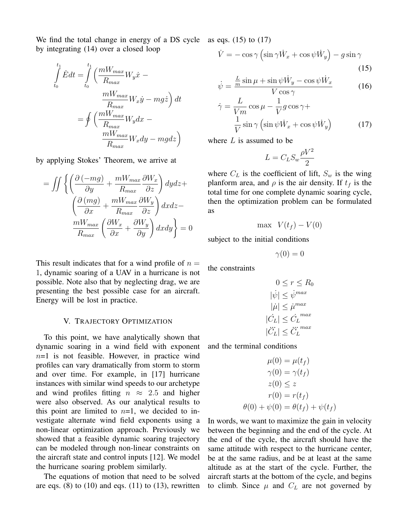We find the total change in energy of a DS cycle as eqs. (15) to (17) by integrating (14) over a closed loop

$$
\int_{t_0}^{t_1} \dot{E} dt = \int_{t_0}^{t_1} \left( \frac{mW_{max}}{R_{max}} W_y \dot{x} - \frac{mW_{max}}{R_{max}} W_x \dot{y} - mg \dot{z} \right) dt
$$

$$
= \oint \left( \frac{mW_{max}}{R_{max}} W_y dx - \frac{mW_{max}}{R_{max}} W_x dy - mg dz \right)
$$

by applying Stokes' Theorem, we arrive at

$$
= \iint \left\{ \left( \frac{\partial \left( -mg \right)}{\partial y} + \frac{m_{max}}{R_{max}} \frac{\partial W_x}{\partial z} \right) dydz + \left( \frac{\partial \left( mg \right)}{\partial x} + \frac{m_{max}}{R_{max}} \frac{\partial W_y}{\partial z} \right) dxdz - \frac{m_{max}}{R_{max}} \left( \frac{\partial W_x}{\partial x} + \frac{\partial W_y}{\partial y} \right) dxdy \right\} = 0
$$

This result indicates that for a wind profile of  $n =$ 1, dynamic soaring of a UAV in a hurricane is not possible. Note also that by neglecting drag, we are presenting the best possible case for an aircraft. Energy will be lost in practice.

#### V. TRAJECTORY OPTIMIZATION

To this point, we have analytically shown that dynamic soaring in a wind field with exponent  $n=1$  is not feasible. However, in practice wind profiles can vary dramatically from storm to storm and over time. For example, in [17] hurricane instances with similar wind speeds to our archetype and wind profiles fitting  $n \approx 2.5$  and higher were also observed. As our analytical results to this point are limited to  $n=1$ , we decided to investigate alternate wind field exponents using a non-linear optimization approach. Previously we showed that a feasible dynamic soaring trajectory can be modeled through non-linear constraints on the aircraft state and control inputs [12]. We model the hurricane soaring problem similarly.

The equations of motion that need to be solved are eqs.  $(8)$  to  $(10)$  and eqs.  $(11)$  to  $(13)$ , rewritten

$$
\dot{V} = -\cos\gamma \left(\sin\gamma \dot{W}_x + \cos\psi \dot{W}_y\right) - g\sin\gamma \tag{15}
$$

$$
\dot{\psi} = \frac{\frac{L}{m}\sin\mu + \sin\psi \dot{W}_y - \cos\psi \dot{W}_x}{V\cos\gamma} \tag{16}
$$

$$
\dot{\gamma} = \frac{L}{Vm} \cos \mu - \frac{1}{V} g \cos \gamma + \frac{1}{V} \sin \gamma \left( \sin \psi \dot{W}_x + \cos \psi \dot{W}_y \right)
$$
(17)

where  $L$  is assumed to be

$$
L = C_L S_w \frac{\rho V^2}{2}
$$

where  $C_L$  is the coefficient of lift,  $S_w$  is the wing planform area, and  $\rho$  is the air density. If  $t_f$  is the total time for one complete dynamic soaring cycle, then the optimization problem can be formulated as

$$
\max V(t_f) - V(0)
$$

subject to the initial conditions

 $\gamma(0) = 0$ 

the constraints

$$
0 \le r \le R_0
$$
  
\n
$$
|\dot{\psi}| \le \dot{\psi}^{max}
$$
  
\n
$$
|\dot{\mu}| \le \dot{\mu}^{max}
$$
  
\n
$$
|\dot{C}_L| \le \dot{C}_L^{max}
$$
  
\n
$$
|\ddot{C}_L| \le \ddot{C}_L^{max}
$$

and the terminal conditions

$$
\mu(0) = \mu(t_f)
$$
  
\n
$$
\gamma(0) = \gamma(t_f)
$$
  
\n
$$
z(0) \le z
$$
  
\n
$$
r(0) = r(t_f)
$$
  
\n
$$
\theta(0) + \psi(0) = \theta(t_f) + \psi(t_f)
$$

In words, we want to maximize the gain in velocity between the beginning and the end of the cycle. At the end of the cycle, the aircraft should have the same attitude with respect to the hurricane center, be at the same radius, and be at least at the same altitude as at the start of the cycle. Further, the aircraft starts at the bottom of the cycle, and begins to climb. Since  $\mu$  and  $C_L$  are not governed by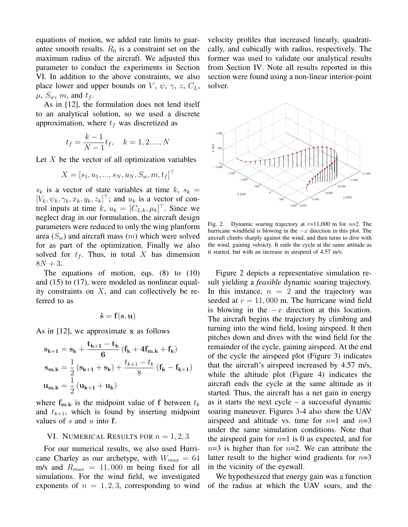equations of motion, we added rate limits to guarantee smooth results.  $R_0$  is a constraint set on the maximum radius of the aircraft. We adjusted this parameter to conduct the experiments in Section VI. In addition to the above constraints, we also place lower and upper bounds on V,  $\psi$ ,  $\gamma$ , z,  $C_L$ ,  $\mu$ ,  $S_w$ ,  $m$ , and  $t_f$ .

As in [12], the formulation does not lend itself to an analytical solution, so we used a discrete approximation, where  $t_f$  was discretized as

$$
t_f = \frac{k-1}{N-1}t_f, \quad k = 1, 2, ..., N
$$

Let  $X$  be the vector of all optimization variables

$$
X = [s_1, u_1, ..., s_N, u_N, S_w, m, t_f]^\top
$$

 $s_k$  is a vector of state variables at time k,  $s_k =$  $[V_k, \psi_k, \gamma_k, x_k, y_k, z_k]^\top$ ; and  $u_k$  is a vector of control inputs at time  $k, u_k = [C_{L,k}, \mu_k]^\top$ . Since we neglect drag in our formulation, the aircraft design parameters were reduced to only the wing planform area  $(S_w)$  and aircraft mass  $(m)$  which were solved for as part of the optimization. Finally we also solved for  $t_f$ . Thus, in total X has dimension  $8N + 3$ .

The equations of motion, eqs. (8) to (10) and (15) to (17), were modeled as nonlinear equality constraints on  $X$ , and can collectively be referred to as

$$
\dot{\mathbf{s}} = \mathbf{f}(\mathbf{s}, \mathbf{u})
$$

As in  $[12]$ , we approximate x as follows

$$
\begin{aligned} \mathbf{s_{k+1}} &= \mathbf{s_k} + \frac{\mathbf{t_{k+1}} - \mathbf{t_k}}{6} \left( \mathbf{f_k} + 4 \mathbf{f_{m,k}} + \mathbf{f_k} \right) \\ \mathbf{s_{m,k}} &= \frac{1}{2} \left( \mathbf{s_{k+1}} + \mathbf{s_k} \right) + \frac{t_{k+1} - t_k}{8} \left( \mathbf{f_k} - \mathbf{f_{k+1}} \right) \\ \mathbf{u_{m,k}} &= \frac{1}{2} \left( \mathbf{u_{k+1}} + \mathbf{u_k} \right) \end{aligned}
$$

where  $f_{m,k}$  is the midpoint value of f between  $t_k$ and  $t_{k+1}$ , which is found by inserting midpoint values of  $s$  and  $u$  into  $f$ .

## VI. NUMERICAL RESULTS FOR  $n = 1, 2, 3$

For our numerical results, we also used Hurricane Charley as our archetype, with  $W_{max} = 64$ m/s and  $R_{max} = 11,000$  m being fixed for all simulations. For the wind field, we investigated exponents of  $n = 1, 2, 3$ , corresponding to wind

velocity profiles that increased linearly, quadratically, and cubically with radius, respectively. The former was used to validate our analytical results from Section IV. Note all results reported in this section were found using a non-linear interior-point solver.



Fig. 2. Dynamic soaring trajectory at  $r=11,000$  m for  $n=2$ . The hurricane windfield is blowing in the  $-x$  direction in this plot. The aircraft climbs sharply against the wind, and then turns to dive with the wind, gaining veloicty. It ends the cycle at the same attitude as it started, but with an increase in airspeed of 4.57 m/s.

Figure 2 depicts a representative simulation result yielding a *feasible* dynamic soaring trajectory. In this instance,  $n = 2$  and the trajectory was seeded at  $r = 11,000$  m. The hurricane wind field is blowing in the  $-x$  direction at this location. The aircraft begins the trajectory by climbing and turning into the wind field, losing airspeed. It then pitches down and dives with the wind field for the remainder of the cycle, gaining airspeed. At the end of the cycle the airspeed plot (Figure 3) indicates that the aircraft's airspeed increased by 4.57 m/s, while the altitude plot (Figure 4) indicates the aircraft ends the cycle at the same altitude as it started. Thus, the aircraft has a net gain in energy as it starts the next cycle – a successful dynamic soaring maneuver. Figures 3-4 also show the UAV airspeed and altitude vs. time for  $n=1$  and  $n=3$ under the same simulation conditions. Note that the airspeed gain for  $n=1$  is 0 as expected, and for  $n=3$  is higher than for  $n=2$ . We can attribute the latter result to the higher wind gradients for  $n=3$ in the vicinity of the eyewall.

We hypothesized that energy gain was a function of the radius at which the UAV soars, and the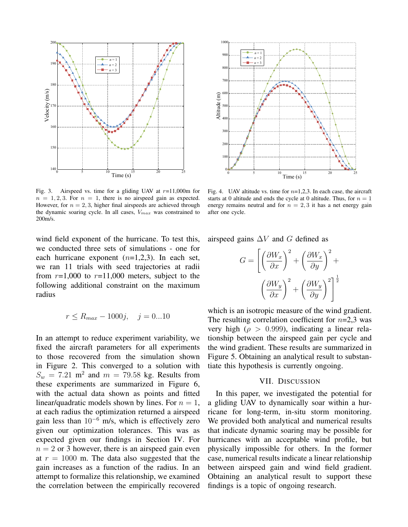

Fig. 3. Airspeed vs. time for a gliding UAV at  $r=11,000$ m for  $n = 1, 2, 3$ . For  $n = 1$ , there is no airspeed gain as expected. However, for  $n = 2, 3$ , higher final airspeeds are achieved through the dynamic soaring cycle. In all cases,  $V_{max}$  was constrained to 200m/s.

wind field exponent of the hurricane. To test this, we conducted three sets of simulations - one for each hurricane exponent  $(n=1,2,3)$ . In each set, we ran 11 trials with seed trajectories at radii from  $r=1,000$  to  $r=11,000$  meters, subject to the following additional constraint on the maximum radius

$$
r \le R_{max} - 1000j, \quad j = 0...10
$$

In an attempt to reduce experiment variability, we fixed the aircraft parameters for all experiments to those recovered from the simulation shown in Figure 2. This converged to a solution with  $S_w = 7.21$  m<sup>2</sup> and  $m = 79.58$  kg. Results from these experiments are summarized in Figure 6, with the actual data shown as points and fitted linear/quadratic models shown by lines. For  $n = 1$ , at each radius the optimization returned a airspeed gain less than  $10^{-6}$  m/s, which is effectively zero given our optimization tolerances. This was as expected given our findings in Section IV. For  $n = 2$  or 3 however, there is an airspeed gain even at  $r = 1000$  m. The data also suggested that the gain increases as a function of the radius. In an attempt to formalize this relationship, we examined the correlation between the empirically recovered



Fig. 4. UAV altitude vs. time for  $n=1,2,3$ . In each case, the aircraft starts at 0 altitude and ends the cycle at 0 altitude. Thus, for  $n = 1$ energy remains neutral and for  $n = 2, 3$  it has a net energy gain after one cycle.

airspeed gains  $\Delta V$  and G defined as

$$
G = \left[ \left( \frac{\partial W_x}{\partial x} \right)^2 + \left( \frac{\partial W_x}{\partial y} \right)^2 + \left( \frac{\partial W_y}{\partial x} \right)^2 + \left( \frac{\partial W_y}{\partial y} \right)^2 \right]^{\frac{1}{2}}
$$

which is an isotropic measure of the wind gradient. The resulting correlation coefficient for  $n=2,3$  was very high ( $\rho > 0.999$ ), indicating a linear relationship between the airspeed gain per cycle and the wind gradient. These results are summarized in Figure 5. Obtaining an analytical result to substantiate this hypothesis is currently ongoing.

### VII. DISCUSSION

In this paper, we investigated the potential for a gliding UAV to dynamically soar within a hurricane for long-term, in-situ storm monitoring. We provided both analytical and numerical results that indicate dynamic soaring may be possible for hurricanes with an acceptable wind profile, but physically impossible for others. In the former case, numerical results indicate a linear relationship between airspeed gain and wind field gradient. Obtaining an analytical result to support these findings is a topic of ongoing research.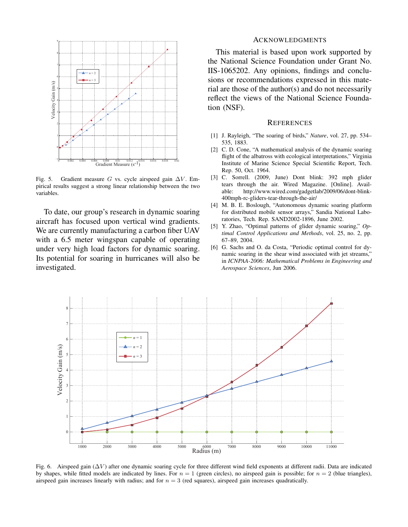

Fig. 5. Gradient measure G vs. cycle airspeed gain  $\Delta V$ . Empirical results suggest a strong linear relationship between the two variables.

To date, our group's research in dynamic soaring aircraft has focused upon vertical wind gradients. We are currently manufacturing a carbon fiber UAV with a 6.5 meter wingspan capable of operating under very high load factors for dynamic soaring. Its potential for soaring in hurricanes will also be investigated.

## ACKNOWLEDGMENTS

This material is based upon work supported by the National Science Foundation under Grant No. IIS-1065202. Any opinions, findings and conclusions or recommendations expressed in this material are those of the author(s) and do not necessarily reflect the views of the National Science Foundation (NSF).

#### **REFERENCES**

- [1] J. Rayleigh, "The soaring of birds," *Nature*, vol. 27, pp. 534– 535, 1883.
- [2] C. D. Cone, "A mathematical analysis of the dynamic soaring flight of the albatross with ecological interpretations," Virginia Institute of Marine Science Special Scientific Report, Tech. Rep. 50, Oct. 1964.
- [3] C. Sorrell. (2009, June) Dont blink: 392 mph glider tears through the air. Wired Magazine. [Online]. Available: http://www.wired.com/gadgetlab/2009/06/dont-blink-400mph-rc-gliders-tear-through-the-air/
- [4] M. B. E. Boslough, "Autonomous dynamic soaring platform for distributed mobile sensor arrays," Sandia National Laboratories, Tech. Rep. SAND2002-1896, June 2002.
- [5] Y. Zhao, "Optimal patterns of glider dynamic soaring," *Optimal Control Applications and Methods*, vol. 25, no. 2, pp. 67–89, 2004.
- [6] G. Sachs and O. da Costa, "Periodic optimal control for dynamic soaring in the shear wind associated with jet streams," in *ICNPAA-2006: Mathematical Problems in Engineering and Aerospace Sciences*, Jun 2006.



Fig. 6. Airspeed gain (∆V ) after one dynamic soaring cycle for three different wind field exponents at different radii. Data are indicated by shapes, while fitted models are indicated by lines. For  $n = 1$  (green circles), no airspeed gain is possible; for  $n = 2$  (blue triangles), airspeed gain increases linearly with radius; and for  $n = 3$  (red squares), airspeed gain increases quadratically.